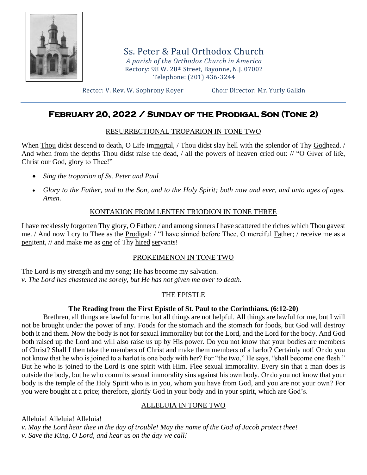

Ss. Peter & Paul Orthodox Church *A parish of the Orthodox Church in America* Rectory: 98 W. 28th Street, Bayonne, N.J. 07002 Telephone: (201) 436-3244

Rector: V. Rev. W. Sophrony Royer Choir Director: Mr. Yuriy Galkin

# **February 20, 2022 / Sunday of the Prodigal Son (Tone 2)**

# RESURRECTIONAL TROPARION IN TONE TWO

When Thou didst descend to death, O Life immortal, / Thou didst slay hell with the splendor of Thy Godhead. / And when from the depths Thou didst raise the dead, / all the powers of heaven cried out: // "O Giver of life, Christ our God, glory to Thee!"

- *Sing the troparion of Ss. Peter and Paul*
- *Glory to the Father, and to the Son, and to the Holy Spirit; both now and ever, and unto ages of ages. Amen.*

## KONTAKION FROM LENTEN TRIODION IN TONE THREE

I have recklessly forgotten Thy glory, O Father; / and among sinners I have scattered the riches which Thou gavest me. / And now I cry to Thee as the Prodigal: / "I have sinned before Thee, O merciful Father; / receive me as a penitent, // and make me as one of Thy hired servants!

# PROKEIMENON IN TONE TWO

The Lord is my strength and my song; He has become my salvation. *v. The Lord has chastened me sorely, but He has not given me over to death.*

# THE EPISTLE

# **The Reading from the First Epistle of St. Paul to the Corinthians. (6:12-20)**

Brethren, all things are lawful for me, but all things are not helpful. All things are lawful for me, but I will not be brought under the power of any. Foods for the stomach and the stomach for foods, but God will destroy both it and them. Now the body is not for sexual immorality but for the Lord, and the Lord for the body. And God both raised up the Lord and will also raise us up by His power. Do you not know that your bodies are members of Christ? Shall I then take the members of Christ and make them members of a harlot? Certainly not! Or do you not know that he who is joined to a harlot is one body with her? For "the two," He says, "shall become one flesh." But he who is joined to the Lord is one spirit with Him. Flee sexual immorality. Every sin that a man does is outside the body, but he who commits sexual immorality sins against his own body. Or do you not know that your body is the temple of the Holy Spirit who is in you, whom you have from God, and you are not your own? For you were bought at a price; therefore, glorify God in your body and in your spirit, which are God's.

# ALLELUIA IN TONE TWO

Alleluia! Alleluia! Alleluia! *v. May the Lord hear thee in the day of trouble! May the name of the God of Jacob protect thee! v. Save the King, O Lord, and hear us on the day we call!*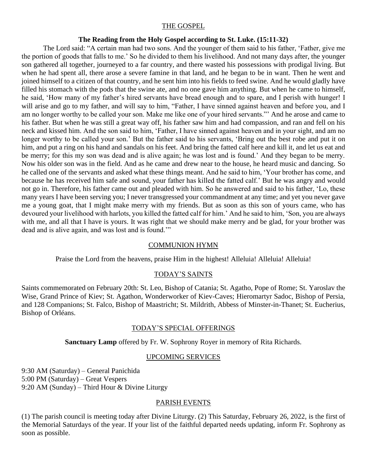## THE GOSPEL

## **The Reading from the Holy Gospel according to St. Luke. (15:11-32)**

The Lord said: "A certain man had two sons. And the younger of them said to his father, 'Father, give me the portion of goods that falls to me.' So he divided to them his livelihood. And not many days after, the younger son gathered all together, journeyed to a far country, and there wasted his possessions with prodigal living. But when he had spent all, there arose a severe famine in that land, and he began to be in want. Then he went and joined himself to a citizen of that country, and he sent him into his fields to feed swine. And he would gladly have filled his stomach with the pods that the swine ate, and no one gave him anything. But when he came to himself, he said, 'How many of my father's hired servants have bread enough and to spare, and I perish with hunger! I will arise and go to my father, and will say to him, "Father, I have sinned against heaven and before you, and I am no longer worthy to be called your son. Make me like one of your hired servants."' And he arose and came to his father. But when he was still a great way off, his father saw him and had compassion, and ran and fell on his neck and kissed him. And the son said to him, 'Father, I have sinned against heaven and in your sight, and am no longer worthy to be called your son.' But the father said to his servants, 'Bring out the best robe and put it on him, and put a ring on his hand and sandals on his feet. And bring the fatted calf here and kill it, and let us eat and be merry; for this my son was dead and is alive again; he was lost and is found.' And they began to be merry. Now his older son was in the field. And as he came and drew near to the house, he heard music and dancing. So he called one of the servants and asked what these things meant. And he said to him, 'Your brother has come, and because he has received him safe and sound, your father has killed the fatted calf.' But he was angry and would not go in. Therefore, his father came out and pleaded with him. So he answered and said to his father, 'Lo, these many years I have been serving you; I never transgressed your commandment at any time; and yet you never gave me a young goat, that I might make merry with my friends. But as soon as this son of yours came, who has devoured your livelihood with harlots, you killed the fatted calf for him.' And he said to him, 'Son, you are always with me, and all that I have is yours. It was right that we should make merry and be glad, for your brother was dead and is alive again, and was lost and is found.'"

### COMMUNION HYMN

Praise the Lord from the heavens, praise Him in the highest! Alleluia! Alleluia! Alleluia!

## TODAY'S SAINTS

Saints commemorated on February 20th: St. Leo, Bishop of Catania; St. Agatho, Pope of Rome; St. Yaroslav the Wise, Grand Prince of Kiev; St. Agathon, Wonderworker of Kiev-Caves; Hieromartyr Sadoc, Bishop of Persia, and 128 Companions; St. Falco, Bishop of Maastricht; St. Mildrith, Abbess of Minster-in-Thanet; St. Eucherius, Bishop of Orléans.

#### TODAY'S SPECIAL OFFERINGS

**Sanctuary Lamp** offered by Fr. W. Sophrony Royer in memory of Rita Richards.

### UPCOMING SERVICES

9:30 AM (Saturday) – General Panichida 5:00 PM (Saturday) – Great Vespers 9:20 AM (Sunday) – Third Hour & Divine Liturgy

## PARISH EVENTS

(1) The parish council is meeting today after Divine Liturgy. (2) This Saturday, February 26, 2022, is the first of the Memorial Saturdays of the year. If your list of the faithful departed needs updating, inform Fr. Sophrony as soon as possible.